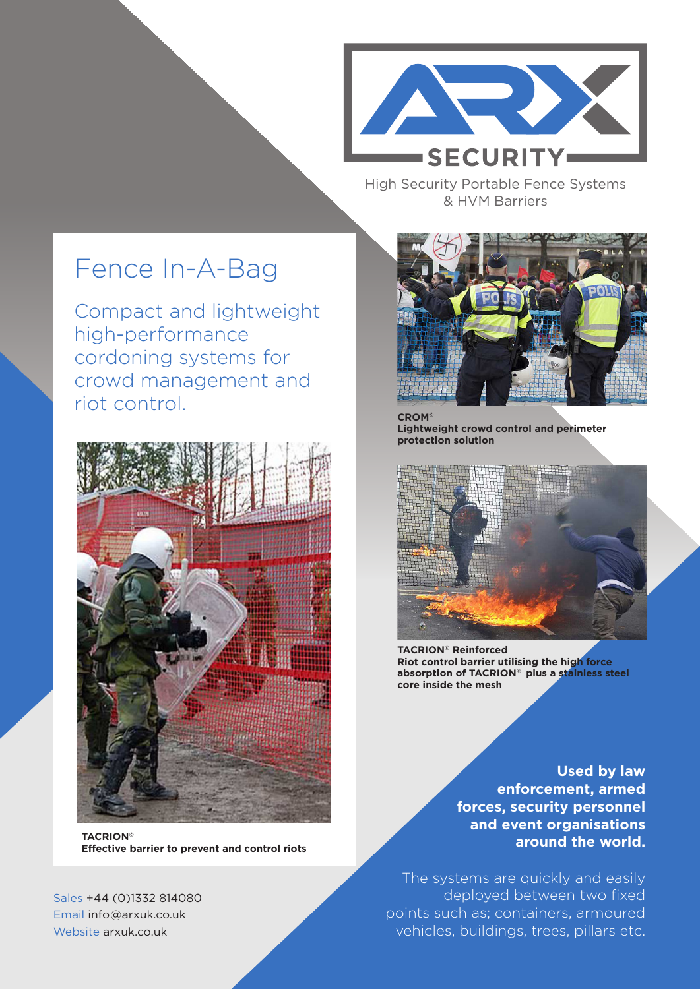

High Security Portable Fence Systems & HVM Barriers

## Fence In-A-Bag

Compact and lightweight high-performance cordoning systems for crowd management and riot control.



**TACRION© Effective barrier to prevent and control riots**

Sales +44 (0)1332 814080 Email info@arxuk.co.uk Website arxuk.co.uk



**CROM© Lightweight crowd control and perimeter protection solution**



**TACRION© Reinforced Riot control barrier utilising the high force absorption of TACRION© plus a stainless steel core inside the mesh** 

**Used by law enforcement, armed forces, security personnel and event organisations around the world.** 

The systems are quickly and easily deployed between two fixed points such as; containers, armoured vehicles, buildings, trees, pillars etc.